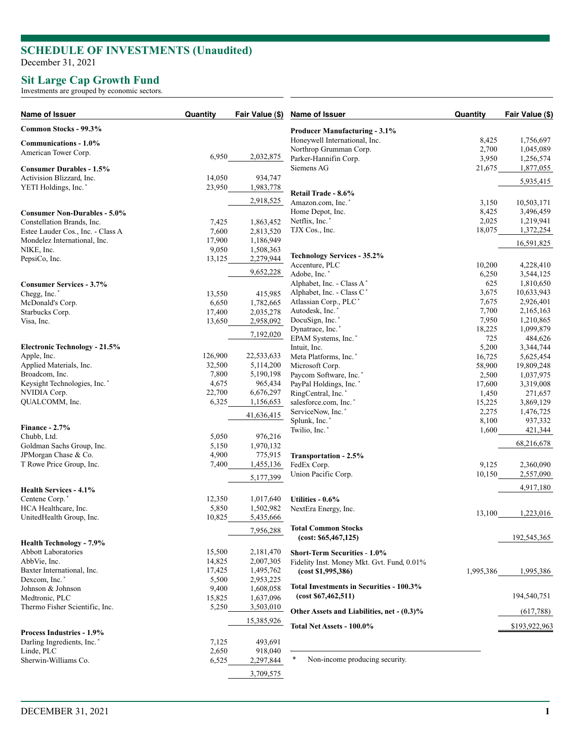## **SCHEDULE OF INVESTMENTS (Unaudited )**

December 31, 2021

## **Sit Large Cap Growth Fund**

Investments are grouped by economic sectors.

| Name of Issuer                         | Quantity | Fair Value (\$) | Name of Issuer                             | Quantity  | Fair Value (\$) |
|----------------------------------------|----------|-----------------|--------------------------------------------|-----------|-----------------|
| Common Stocks - 99.3%                  |          |                 | <b>Producer Manufacturing - 3.1%</b>       |           |                 |
| Communications - 1.0%                  |          |                 | Honeywell International, Inc.              | 8,425     | 1,756,697       |
| American Tower Corp.                   |          |                 | Northrop Grumman Corp.                     | 2,700     | 1,045,089       |
|                                        | 6,950    | 2,032,875       | Parker-Hannifin Corp.                      | 3,950     | 1,256,574       |
| <b>Consumer Durables - 1.5%</b>        |          |                 | Siemens AG                                 | 21,675    | 1,877,055       |
| Activision Blizzard, Inc.              | 14,050   | 934,747         |                                            |           |                 |
| YETI Holdings, Inc. <sup>*</sup>       | 23,950   | 1,983,778       |                                            |           | 5,935,415       |
|                                        |          |                 | Retail Trade - 8.6%                        |           |                 |
|                                        |          | 2,918,525       | Amazon.com, Inc.                           | 3,150     | 10,503,171      |
| <b>Consumer Non-Durables - 5.0%</b>    |          |                 | Home Depot, Inc.                           | 8,425     | 3,496,459       |
| Constellation Brands, Inc.             | 7,425    | 1,863,452       | Netflix, Inc.*                             | 2,025     | 1,219,941       |
| Estee Lauder Cos., Inc. - Class A      | 7,600    | 2,813,520       | TJX Cos., Inc.                             | 18,075    | 1,372,254       |
| Mondelez International, Inc.           | 17,900   | 1,186,949       |                                            |           |                 |
| NIKE, Inc.                             | 9,050    | 1,508,363       |                                            |           | 16,591,825      |
| PepsiCo, Inc.                          | 13,125   | 2,279,944       | <b>Technology Services - 35.2%</b>         |           |                 |
|                                        |          |                 | Accenture, PLC                             | 10,200    | 4,228,410       |
|                                        |          | 9,652,228       | Adobe, Inc.*                               | 6,250     | 3,544,125       |
| <b>Consumer Services - 3.7%</b>        |          |                 | Alphabet, Inc. - Class A*                  | 625       | 1,810,650       |
| Chegg, Inc.*                           | 13,550   | 415,985         | Alphabet, Inc. - Class C*                  | 3,675     | 10,633,943      |
| McDonald's Corp.                       | 6,650    | 1,782,665       | Atlassian Corp., PLC*                      | 7,675     | 2,926,401       |
| Starbucks Corp.                        | 17,400   | 2,035,278       | Autodesk, Inc.*                            | 7,700     | 2,165,163       |
| Visa, Inc.                             | 13,650   | 2,958,092       | DocuSign, Inc.*                            | 7,950     | 1,210,865       |
|                                        |          |                 | Dynatrace, Inc.*                           | 18,225    | 1,099,879       |
|                                        |          | 7,192,020       | EPAM Systems, Inc.'                        | 725       | 484,626         |
| <b>Electronic Technology - 21.5%</b>   |          |                 | Intuit, Inc.                               | 5,200     | 3,344,744       |
| Apple, Inc.                            | 126,900  | 22,533,633      | Meta Platforms, Inc.*                      | 16,725    | 5,625,454       |
| Applied Materials, Inc.                | 32,500   | 5,114,200       |                                            |           |                 |
| Broadcom, Inc.                         | 7,800    | 5,190,198       | Microsoft Corp.                            | 58,900    | 19,809,248      |
| Keysight Technologies, Inc.*           | 4,675    |                 | Paycom Software, Inc.*                     | 2,500     | 1,037,975       |
|                                        |          | 965,434         | PayPal Holdings, Inc.'                     | 17,600    | 3,319,008       |
| NVIDIA Corp.                           | 22,700   | 6,676,297       | RingCentral, Inc.                          | 1,450     | 271,657         |
| QUALCOMM, Inc.                         | 6,325    | 1,156,653       | salesforce.com, Inc.*                      | 15,225    | 3,869,129       |
|                                        |          | 41,636,415      | ServiceNow, Inc.*                          | 2,275     | 1,476,725       |
| Finance - $2.7\%$                      |          |                 | Splunk, Inc.*                              | 8,100     | 937,332         |
| Chubb, Ltd.                            | 5,050    | 976,216         | Twilio, Inc.                               | 1,600     | 421,344         |
|                                        | 5,150    |                 |                                            |           | 68,216,678      |
| Goldman Sachs Group, Inc.              | 4,900    | 1,970,132       |                                            |           |                 |
| JPMorgan Chase & Co.                   |          | 775,915         | Transportation - 2.5%                      |           |                 |
| T Rowe Price Group, Inc.               | 7,400    | 1,455,136       | FedEx Corp.                                | 9,125     | 2,360,090       |
|                                        |          | 5,177,399       | Union Pacific Corp.                        | 10,150    | 2,557,090       |
| Health Services - 4.1%                 |          |                 |                                            |           | 4,917,180       |
| Centene Corp.*                         | 12,350   | 1,017,640       | Utilities - 0.6%                           |           |                 |
| HCA Healthcare, Inc.                   | 5,850    | 1,502,982       | NextEra Energy, Inc.                       |           |                 |
| UnitedHealth Group, Inc.               | 10,825   | 5,435,666       |                                            | 13,100    | 1,223,016       |
|                                        |          |                 |                                            |           |                 |
|                                        |          | 7,956,288       | <b>Total Common Stocks</b>                 |           |                 |
| <b>Health Technology - 7.9%</b>        |          |                 | (cost: \$65,467,125)                       |           | 192,545,365     |
| <b>Abbott Laboratories</b>             | 15,500   | 2,181,470       | <b>Short-Term Securities - 1.0%</b>        |           |                 |
| AbbVie, Inc.                           | 14,825   | 2,007,305       | Fidelity Inst. Money Mkt. Gvt. Fund, 0.01% |           |                 |
| Baxter International, Inc.             | 17,425   | 1,495,762       |                                            |           |                 |
| Dexcom, Inc. <sup>*</sup>              | 5,500    | 2,953,225       | (cost \$1,995,386)                         | 1,995,386 | 1,995,386       |
| Johnson & Johnson                      | 9,400    | 1,608,058       | Total Investments in Securities - 100.3%   |           |                 |
| Medtronic, PLC                         | 15,825   | 1,637,096       | (cost \$67,462,511)                        |           | 194,540,751     |
| Thermo Fisher Scientific, Inc.         |          |                 |                                            |           |                 |
|                                        | 5,250    | 3,503,010       | Other Assets and Liabilities, net - (0.3)% |           | (617,788)       |
|                                        |          | 15,385,926      | Total Net Assets - 100.0%                  |           | \$193,922,963   |
| <b>Process Industries - 1.9%</b>       |          |                 |                                            |           |                 |
| Darling Ingredients, Inc. <sup>*</sup> | 7,125    | 493,691         |                                            |           |                 |
| Linde, PLC                             | 2,650    | 918,040         |                                            |           |                 |
| Sherwin-Williams Co.                   | 6,525    | 2,297,844       | *<br>Non-income producing security.        |           |                 |
|                                        |          |                 |                                            |           |                 |
|                                        |          | 3,709,575       |                                            |           |                 |